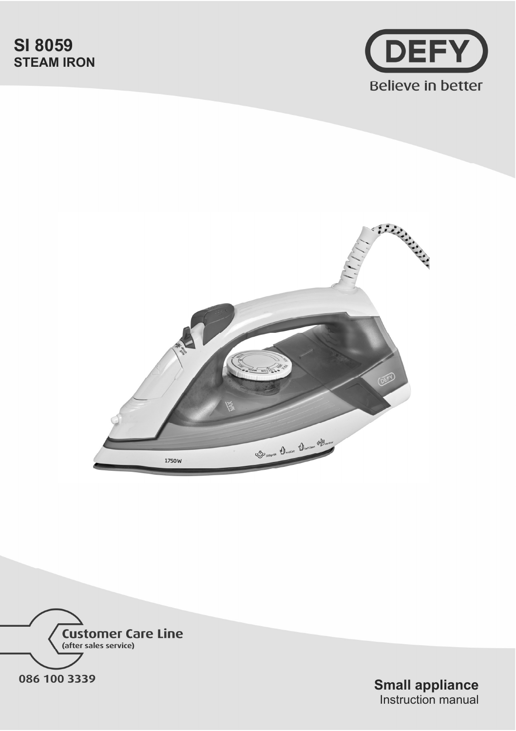# **SI 8059 STEAM IRON**







**Small appliance** Instruction manual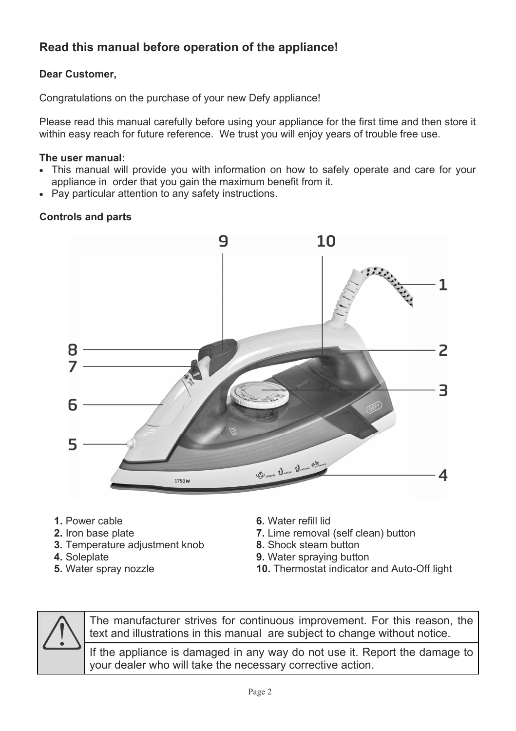# **Read this manual before operation of the appliance!**

# **Dear Customer,**

Congratulations on the purchase of your new Defy appliance!

Please read this manual carefully before using your appliance for the first time and then store it within easy reach for future reference. We trust you will enjoy years of trouble free use.

#### **The user manual:**

- This manual will provide you with information on how to safely operate and care for your appliance in order that you gain the maximum benefit from it.
- Pay particular attention to any safety instructions.

## **Controls and parts**



- **1.** Power cable
- **2.** Iron base plate
- **3.** Temperature adjustment knob
- **4.** Soleplate
- **5.** Water spray nozzle
- **6.** Water refill lid
- **7.** Lime removal (self clean) button
- **8.** Shock steam button
- **9.** Water spraying button
- **10.** Thermostat indicator and Auto-Off light



The manufacturer strives for continuous improvement. For this reason, the text and illustrations in this manual are subject to change without notice.

If the appliance is damaged in any way do not use it. Report the damage to your dealer who will take the necessary corrective action.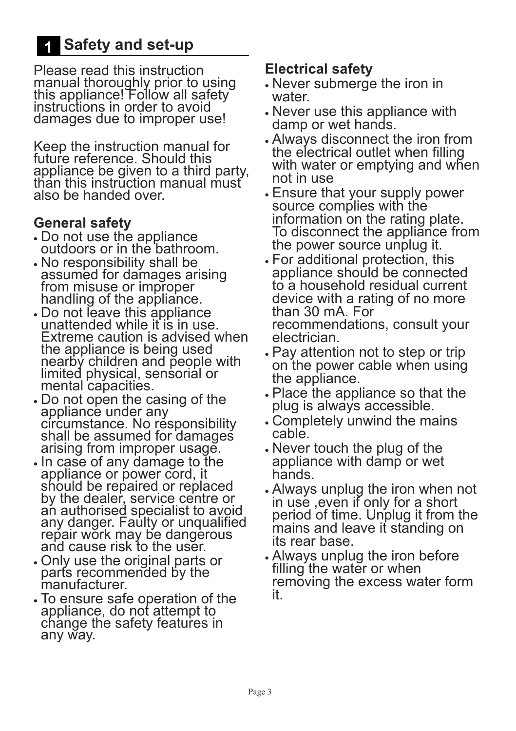# **1 Safety and set-up**

Please read this instruction manual thoroughly prior to using this appliance! Follow all safety instructions in order to avoid damages due to improper use!

Keep the instruction manual for future reference. Should this appliance be given to a third party, than this instruction manual must also be handed over.

# **General safety**

- xDo not use the appliance outdoors or in the bathroom.
- No responsibility shall be assumed for damages arising from misuse or improper handling of the appliance.
- xDo not leave this appliance unattended while it is in use. Extreme caution is advised when the appliance is being used nearby children and people with limited physical, sensorial or mental capacities.
- Do not open the casing of the appliance under any circumstance. No responsibility shall be assumed for damages arising from improper usage.
- In case of any damage to the appliance or power cord, it should be repaired or replaced by the dealer, service centre or an authorised specialist to avoid any danger. Faulty or unqualified repair work may be dangerous and cause risk to the user.
- xOnly use the original parts or parts recommended by the manufacturer.
- To ensure safe operation of the appliance, do not attempt to change the safety features in any way.

# **Electrical safety**

- Never submerge the iron in water.
- Never use this appliance with damp or wet hands.
- xAlways disconnect the iron from the electrical outlet when filling with water or emptying and when not in use
- xEnsure that your supply power source complies with the information on the rating plate. To disconnect the appliance from the power source unplug it.
- xFor additional protection, this appliance should be connected to a household residual current device with a rating of no more than 30 mA. For recommendations, consult your electrician.
- Pay attention not to step or trip on the power cable when using the appliance.
- Place the appliance so that the plug is always accessible.
- Completely unwind the mains cable.
- Never touch the plug of the appliance with damp or wet hands.
- xAlways unplug the iron when not in use ,even if only for a short period of time. Unplug it from the mains and leave it standing on its rear base.
- xAlways unplug the iron before filling the water or when removing the excess water form it.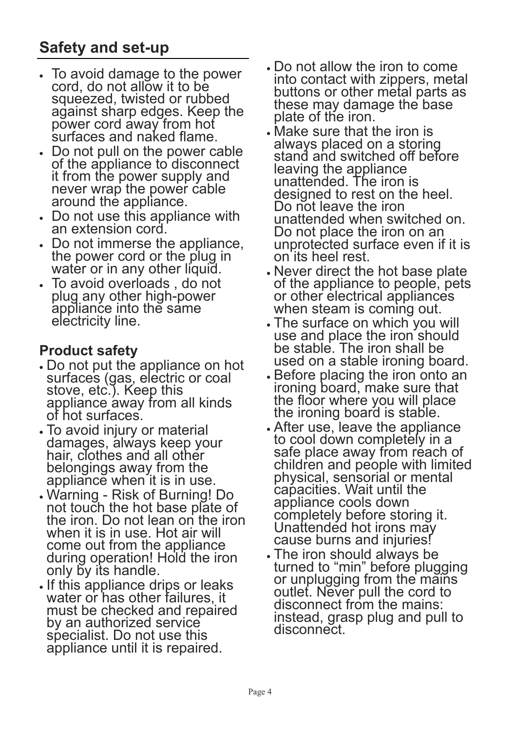- To avoid damage to the power cord, do not allow it to be squeezed, twisted or rubbed against sharp edges. Keep the power cord away from hot surfaces and naked flame.
- x Do not pull on the power cable of the appliance to disconnect it from the power supply and never wrap the power cable around the appliance.
- Do not use this appliance with an extension cord.
- x Do not immerse the appliance, the power cord or the plug in water or in any other liquid.
- x To avoid overloads , do not plug any other high-power appliance into the same electricity line.

# **Product safety**

- xDo not put the appliance on hot surfaces (gas, electric or coal stove, etc.). Keep this appliance away from all kinds of hot surfaces.
- To avoid injury or material damages, always keep your hair, clothes and all other belongings away from the appliance when it is in use.
- xWarning Risk of Burning! Do not touch the hot base plate of the iron. Do not lean on the iron when it is in use. Hot air will come out from the appliance during operation! Hold the iron only by its handle.
- If this appliance drips or leaks water or has other failures, it must be checked and repaired by an authorized service specialist. Do not use this appliance until it is repaired.
- Do not allow the iron to come into contact with zippers, metal buttons or other metal parts as these may damage the base plate of the iron.
- Make sure that the iron is always placed on a storing stand and switched off before leaving the appliance unattended. The iron is designed to rest on the heel. Do not leave the iron unattended when switched on. Do not place the iron on an unprotected surface even if it is on its heel rest.
- Never direct the hot base plate of the appliance to people, pets or other electrical appliances when steam is coming out.
- The surface on which you will use and place the iron should be stable. The iron shall be used on a stable ironing board.
- Before placing the iron onto an ironing board, make sure that the floor where you will place the ironing board is stable.
- xAfter use, leave the appliance to cool down completely in a safe place away from reach of children and people with limited physical, sensorial or mental capacities. Wait until the appliance cools down completely before storing it. Unattended hot irons may cause burns and injuries!
- The iron should always be turned to "min" before plugging or unplugging from the mains outlet. Never pull the cord to disconnect from the mains: instead, grasp plug and pull to disconnect.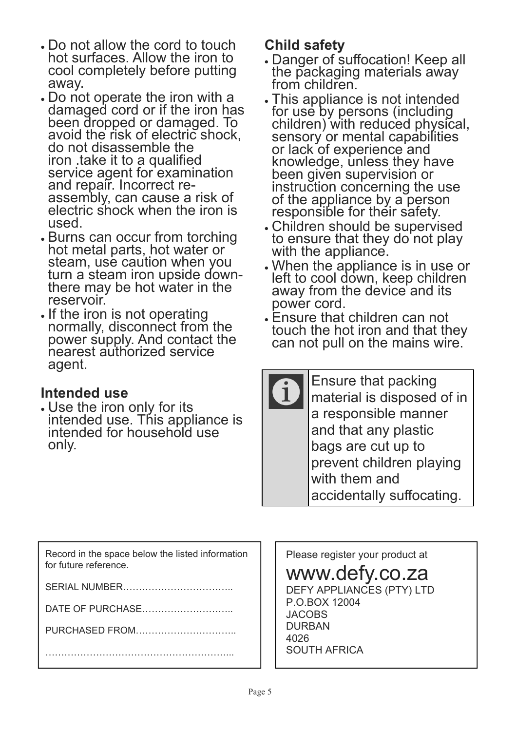- xDo not allow the cord to touch hot surfaces. Allow the iron to cool completely before putting away.
- Do not operate the iron with a damaged cord or if the iron has been dropped or damaged. To avoid the risk of electric shock, do not disassemble the iron .take it to a qualified service agent for examination and repair. Incorrect reassembly, can cause a risk of electric shock when the iron is used.
- **Burns can occur from torching** hot metal parts, hot water or steam, use caution when you turn a steam iron upside downthere may be hot water in the reservoir.
- If the iron is not operating normally, disconnect from the power supply. And contact the nearest authorized service agent.

# **Intended use**

• Use the iron only for its intended use. This appliance is intended for household use only.

# **Child safety**

- xDanger of suffocation! Keep all the packaging materials away from children.
- $\boldsymbol{\cdot}$  This appliance is not intended. for use by persons (including children) with reduced physical, sensory or mental capabilities or lack of experience and knowledge, unless they have been given supervision or instruction concerning the use of the appliance by a person responsible for their safety.
- xChildren should be supervised to ensure that they do not play with the appliance.
- xWhen the appliance is in use or left to cool down, keep children away from the device and its power cord.
- Ensure that children can not touch the hot iron and that they can not pull on the mains wire.

| Ensure that packing        |
|----------------------------|
| material is disposed of in |
| a responsible manner       |
| and that any plastic       |
| bags are cut up to         |
| prevent children playing   |
| with them and              |
| accidentally suffocating.  |
|                            |

| Record in the space below the listed information |  |
|--------------------------------------------------|--|
| for future reference.                            |  |

SERIAL NUMBER……………………………..

DATE OF PURCHASE………………………..

PURCHASED FROM…………………………..

…………………………………………………...

Please register your product at

# www.defy.co.za

DEFY APPLIANCES (PTY) LTD P.O.BOX 12004 JACOBS DURBAN 4026 SOUTH AFRICA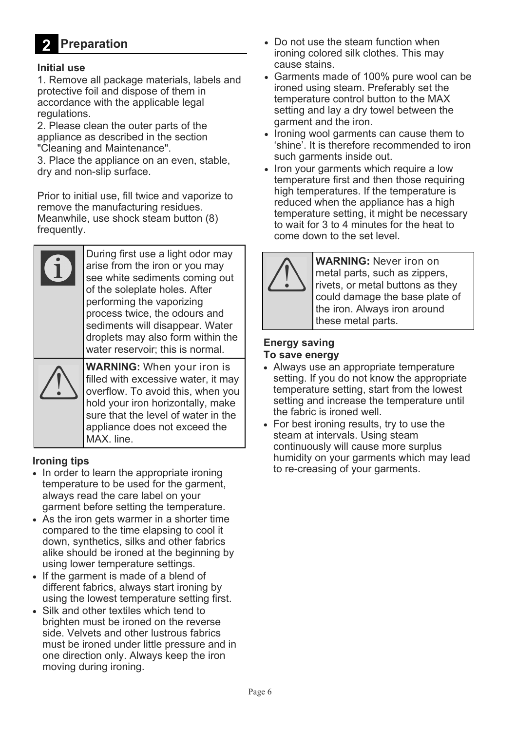#### **Preparation 2**

#### **Initial use**

1. Remove all package materials, labels and protective foil and dispose of them in accordance with the applicable legal regulations.

2. Please clean the outer parts of the appliance as described in the section "Cleaning and Maintenance".

3. Place the appliance on an even, stable, dry and non-slip surface.

Prior to initial use, fill twice and vaporize to remove the manufacturing residues. Meanwhile, use shock steam button (8) frequently.

| During first use a light odor may<br>arise from the iron or you may<br>see white sediments coming out<br>of the soleplate holes. After<br>performing the vaporizing<br>process twice, the odours and<br>sediments will disappear. Water<br>droplets may also form within the<br>water reservoir: this is normal. |
|------------------------------------------------------------------------------------------------------------------------------------------------------------------------------------------------------------------------------------------------------------------------------------------------------------------|
| <b>WARNING:</b> When your iron is<br>filled with excessive water, it may<br>overflow. To avoid this, when you<br>hold your iron horizontally, make<br>sure that the level of water in the<br>appliance does not exceed the<br>MAX. line.                                                                         |

#### **Ironing tips**

- In order to learn the appropriate ironing temperature to be used for the garment, always read the care label on your garment before setting the temperature.
- As the iron gets warmer in a shorter time compared to the time elapsing to cool it down, synthetics, silks and other fabrics alike should be ironed at the beginning by using lower temperature settings.
- If the garment is made of a blend of different fabrics, always start ironing by using the lowest temperature setting first.
- Silk and other textiles which tend to brighten must be ironed on the reverse side. Velvets and other lustrous fabrics must be ironed under little pressure and in one direction only. Always keep the iron moving during ironing.
- Do not use the steam function when ironing colored silk clothes. This may cause stains.
- Garments made of 100% pure wool can be ironed using steam. Preferably set the temperature control button to the MAX setting and lay a dry towel between the garment and the iron.
- Ironing wool garments can cause them to 'shine'. It is therefore recommended to iron such garments inside out.
- Iron your garments which require a low temperature first and then those requiring high temperatures. If the temperature is reduced when the appliance has a high temperature setting, it might be necessary to wait for 3 to 4 minutes for the heat to come down to the set level.



**WARNING:** Never iron on metal parts, such as zippers, rivets, or metal buttons as they could damage the base plate of the iron. Always iron around these metal parts.

## **Energy saving To save energy**

- Always use an appropriate temperature setting. If you do not know the appropriate temperature setting, start from the lowest setting and increase the temperature until the fabric is ironed well.
- For best ironing results, try to use the steam at intervals. Using steam continuously will cause more surplus humidity on your garments which may lead to re-creasing of your garments.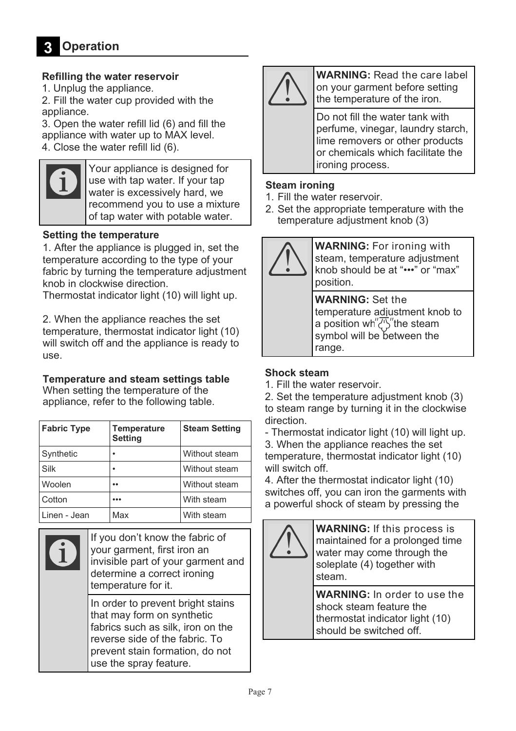## **Refilling the water reservoir**

1. Unplug the appliance.

2. Fill the water cup provided with the appliance.

3. Open the water refill lid (6) and fill the appliance with water up to MAX level.

4. Close the water refill lid (6).



Your appliance is designed for use with tap water. If your tap water is excessively hard, we recommend you to use a mixture of tap water with potable water.

## **Setting the temperature**

1. After the appliance is plugged in, set the temperature according to the type of your fabric by turning the temperature adjustment knob in clockwise direction.

Thermostat indicator light (10) will light up.

2. When the appliance reaches the set temperature, thermostat indicator light (10) will switch off and the appliance is ready to use.

## **Temperature and steam settings table**

When setting the temperature of the appliance, refer to the following table.

| <b>Fabric Type</b> | <b>Temperature</b><br>Setting | <b>Steam Setting</b> |
|--------------------|-------------------------------|----------------------|
| Synthetic          |                               | Without steam        |
| Silk               |                               | Without steam        |
| Woolen             |                               | Without steam        |
| Cotton             |                               | With steam           |
| Linen - Jean       | Max                           | With steam           |

|  | If you don't know the fabric of<br>your garment, first iron an<br>invisible part of your garment and<br>determine a correct ironing<br>temperature for it.                                          |
|--|-----------------------------------------------------------------------------------------------------------------------------------------------------------------------------------------------------|
|  | In order to prevent bright stains<br>that may form on synthetic<br>fabrics such as silk, iron on the<br>reverse side of the fabric. To<br>prevent stain formation, do not<br>use the spray feature. |



**WARNING:** Read the care label on your garment before setting the temperature of the iron.

Do not fill the water tank with perfume, vinegar, laundry starch, lime removers or other products or chemicals which facilitate the ironing process.

## **Steam ironing**

- 1. Fill the water reservoir.
- 2. Set the appropriate temperature with the temperature adjustment knob (3)



**WARNING:** For ironing with steam, temperature adjustment knob should be at "•••" or "max" position.

**WARNING:** Set the temperature adjustment knob to a position wh<sup>"</sup> $\overline{\langle 1 \rangle}$ " the steam symbol will be between the range.

## **Shock steam**

1. Fill the water reservoir.

2. Set the temperature adjustment knob (3) to steam range by turning it in the clockwise direction.

- Thermostat indicator light (10) will light up.

3. When the appliance reaches the set temperature, thermostat indicator light (10) will switch off.

4. After the thermostat indicator light (10) switches off, you can iron the garments with a powerful shock of steam by pressing the



**WARNING:** If this process is maintained for a prolonged time water may come through the soleplate (4) together with steam.

**WARNING:** In order to use the shock steam feature the thermostat indicator light (10) should be switched off.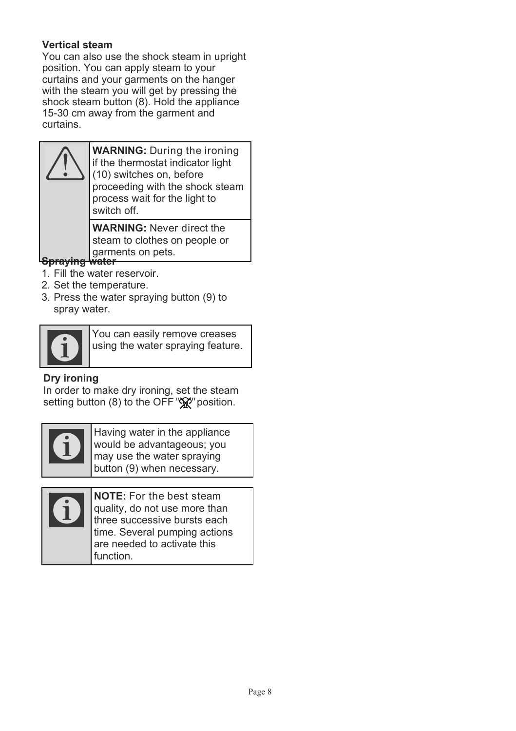# **Vertical steam**

You can also use the shock steam in upright position. You can apply steam to your curtains and your garments on the hanger with the steam you will get by pressing the shock steam button (8). Hold the appliance 15-30 cm away from the garment and curtains.



**WARNING:** During the ironing if the thermostat indicator light (10) switches on, before proceeding with the shock steam process wait for the light to switch off.

**WARNING:** Never direct the steam to clothes on people or garments on pets.

# **Spraying water**

- 1. Fill the water reservoir.
- 2. Set the temperature.
- 3. Press the water spraying button (9) to spray water.



You can easily remove creases using the water spraying feature.

# **Dry ironing**

In order to make dry ironing, set the steam setting button (8) to the OFF " $\mathcal{R}$ " position.



Having water in the appliance would be advantageous; you may use the water spraying button (9) when necessary.



**NOTE:** For the best steam quality, do not use more than three successive bursts each time. Several pumping actions are needed to activate this function.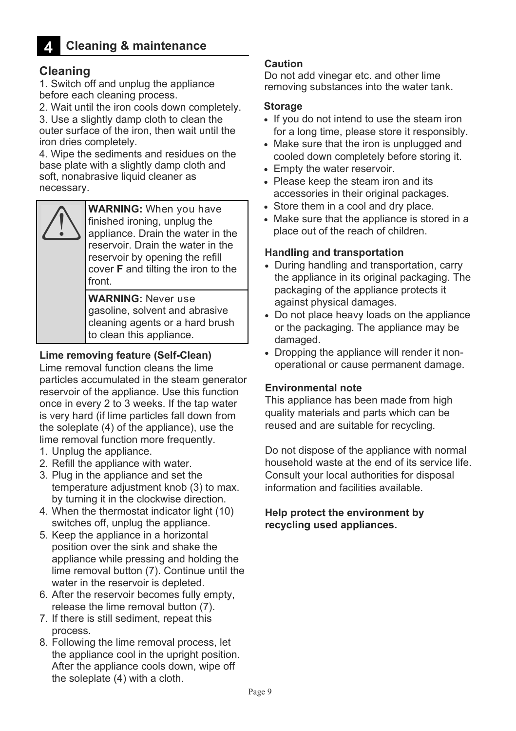#### **Cleaning & maintenance 4**

# **Cleaning**

1. Switch off and unplug the appliance before each cleaning process.

2. Wait until the iron cools down completely.

3. Use a slightly damp cloth to clean the outer surface of the iron, then wait until the iron dries completely.

4. Wipe the sediments and residues on the base plate with a slightly damp cloth and soft, nonabrasive liquid cleaner as necessary.



**WARNING:** When you have finished ironing, unplug the appliance. Drain the water in the reservoir. Drain the water in the reservoir by opening the refill cover **F** and tilting the iron to the front.

**WARNING:** Never use gasoline, solvent and abrasive cleaning agents or a hard brush to clean this appliance.

## **Lime removing feature (Self-Clean)**

Lime removal function cleans the lime particles accumulated in the steam generator reservoir of the appliance. Use this function once in every 2 to 3 weeks. If the tap water is very hard (if lime particles fall down from the soleplate (4) of the appliance), use the lime removal function more frequently.

- 1. Unplug the appliance.
- 2. Refill the appliance with water.
- 3. Plug in the appliance and set the temperature adjustment knob (3) to max. by turning it in the clockwise direction.
- 4. When the thermostat indicator light (10) switches off, unplug the appliance.
- 5. Keep the appliance in a horizontal position over the sink and shake the appliance while pressing and holding the lime removal button (7). Continue until the water in the reservoir is depleted.
- 6. After the reservoir becomes fully empty, release the lime removal button (7).
- 7. If there is still sediment, repeat this process.
- 8. Following the lime removal process, let the appliance cool in the upright position. After the appliance cools down, wipe off the soleplate (4) with a cloth.

#### **Caution**

Do not add vinegar etc. and other lime removing substances into the water tank.

#### **Storage**

- If you do not intend to use the steam iron for a long time, please store it responsibly.
- Make sure that the iron is unplugged and cooled down completely before storing it.
- Empty the water reservoir.
- Please keep the steam iron and its accessories in their original packages.
- Store them in a cool and dry place.
- Make sure that the appliance is stored in a place out of the reach of children.

#### **Handling and transportation**

- During handling and transportation, carry the appliance in its original packaging. The packaging of the appliance protects it against physical damages.
- Do not place heavy loads on the appliance or the packaging. The appliance may be damaged.
- Dropping the appliance will render it nonoperational or cause permanent damage.

#### **Environmental note**

This appliance has been made from high quality materials and parts which can be reused and are suitable for recycling.

Do not dispose of the appliance with normal household waste at the end of its service life. Consult your local authorities for disposal information and facilities available.

#### **Help protect the environment by recycling used appliances.**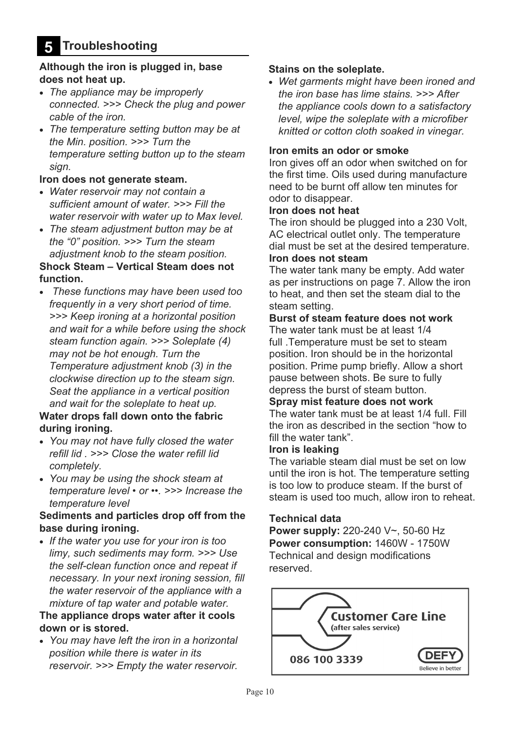## **Although the iron is plugged in, base does not heat up.**

- x *The appliance may be improperly connected. >>> Check the plug and power cable of the iron.*
- x *The temperature setting button may be at the Min. position. >>> Turn the temperature setting button up to the steam sign.*

#### **Iron does not generate steam.**

- x *Water reservoir may not contain a sufficient amount of water. >>> Fill the water reservoir with water up to Max level.*
- x *The steam adjustment button may be at the "0" position. >>> Turn the steam adjustment knob to the steam position.*  **Shock Steam – Vertical Steam does not**

# **function.**

x *These functions may have been used too frequently in a very short period of time. >>> Keep ironing at a horizontal position and wait for a while before using the shock steam function again. >>> Soleplate (4) may not be hot enough. Turn the Temperature adjustment knob (3) in the clockwise direction up to the steam sign. Seat the appliance in a vertical position and wait for the soleplate to heat up.* 

## **Water drops fall down onto the fabric during ironing.**

- x *You may not have fully closed the water refill lid . >>> Close the water refill lid completely.*
- x *You may be using the shock steam at temperature level • or ••. >>> Increase the temperature level*

# **Sediments and particles drop off from the base during ironing.**

x *If the water you use for your iron is too limy, such sediments may form. >>> Use the self-clean function once and repeat if necessary. In your next ironing session, fill the water reservoir of the appliance with a mixture of tap water and potable water.* 

## **The appliance drops water after it cools down or is stored.**

x *You may have left the iron in a horizontal position while there is water in its reservoir. >>> Empty the water reservoir.* 

## **Stains on the soleplate.**

x *Wet garments might have been ironed and the iron base has lime stains. >>> After the appliance cools down to a satisfactory level, wipe the soleplate with a microfiber knitted or cotton cloth soaked in vinegar.* 

#### **Iron emits an odor or smoke**

Iron gives off an odor when switched on for the first time. Oils used during manufacture need to be burnt off allow ten minutes for odor to disappear.

#### **Iron does not heat**

The iron should be plugged into a 230 Volt, AC electrical outlet only. The temperature dial must be set at the desired temperature.

#### **Iron does not steam**

The water tank many be empty. Add water as per instructions on page 7. Allow the iron to heat, and then set the steam dial to the steam setting.

#### **Burst of steam feature does not work**

The water tank must be at least 1/4 full .Temperature must be set to steam position. Iron should be in the horizontal position. Prime pump briefly. Allow a short pause between shots. Be sure to fully depress the burst of steam button.

## **Spray mist feature does not work**

The water tank must be at least 1/4 full. Fill the iron as described in the section "how to fill the water tank".

#### **Iron is leaking**

The variable steam dial must be set on low until the iron is hot. The temperature setting is too low to produce steam. If the burst of steam is used too much, allow iron to reheat.

#### **Technical data**

**Power supply:** 220-240 V~, 50-60 Hz **Power consumption:** 1460W - 1750W Technical and design modifications reserved.

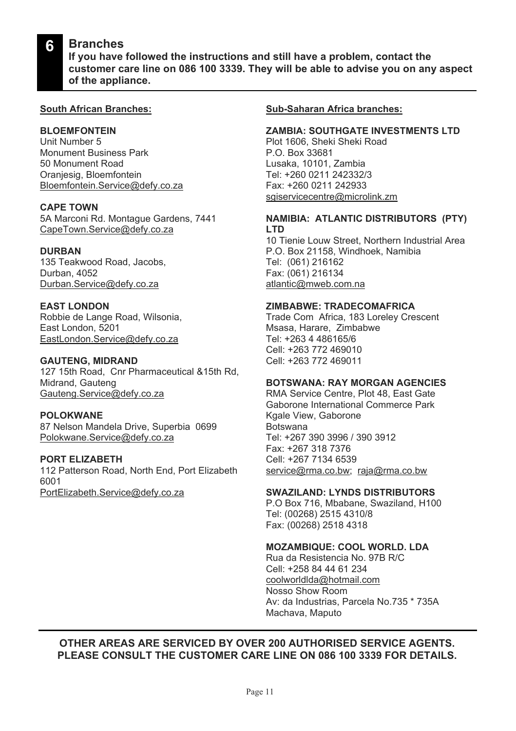#### **Branches 6**

**If you have followed the instructions and still have a problem, contact the customer care line on 086 100 3339. They will be able to advise you on any aspect of the appliance.**

#### **South African Branches:**

#### **BLOEMFONTEIN**

Unit Number 5 Monument Business Park 50 Monument Road Oranjesig, Bloemfontein Bloemfontein.Service@defy.co.za

#### **CAPE TOWN**

5A Marconi Rd. Montague Gardens, 7441 CapeTown.Service@defy.co.za

#### **DURBAN**

135 Teakwood Road, Jacobs, Durban, 4052 Durban.Service@defy.co.za

#### **EAST LONDON**

Robbie de Lange Road, Wilsonia, East London, 5201 EastLondon.Service@defy.co.za

#### **GAUTENG, MIDRAND**

127 15th Road, Cnr Pharmaceutical &15th Rd, Midrand, Gauteng Gauteng.Service@defy.co.za

#### **POLOKWANE**

87 Nelson Mandela Drive, Superbia 0699 Polokwane.Service@defy.co.za

# **PORT ELIZABETH**

112 Patterson Road, North End, Port Elizabeth 6001 PortElizabeth.Service@defy.co.za

#### **Sub-Saharan Africa branches:**

#### **ZAMBIA: SOUTHGATE INVESTMENTS LTD**

Plot 1606, Sheki Sheki Road P.O. Box 33681 Lusaka, 10101, Zambia Tel: +260 0211 242332/3 Fax: +260 0211 242933 sgiservicecentre@microlink.zm

#### **NAMIBIA: ATLANTIC DISTRIBUTORS (PTY) LTD**

10 Tienie Louw Street, Northern Industrial Area P.O. Box 21158, Windhoek, Namibia Tel: (061) 216162 Fax: (061) 216134 atlantic@mweb.com.na

#### **ZIMBABWE: TRADECOMAFRICA**

Trade Com Africa, 183 Loreley Crescent Msasa, Harare, Zimbabwe Tel: +263 4 486165/6 Cell: +263 772 469010 Cell: +263 772 469011

#### **BOTSWANA: RAY MORGAN AGENCIES**

RMA Service Centre, Plot 48, East Gate Gaborone International Commerce Park Kgale View, Gaborone Botswana Tel: +267 390 3996 / 390 3912 Fax: +267 318 7376 Cell: +267 7134 6539 service@rma.co.bw; raja@rma.co.bw

#### **SWAZILAND: LYNDS DISTRIBUTORS**

P.O Box 716, Mbabane, Swaziland, H100 Tel: (00268) 2515 4310/8 Fax: (00268) 2518 4318

#### **MOZAMBIQUE: COOL WORLD. LDA**

Rua da Resistencia No. 97B R/C Cell: +258 84 44 61 234 coolworldlda@hotmail.com Nosso Show Room Av: da Industrias, Parcela No.735 \* 735A Machava, Maputo

## **OTHER AREAS ARE SERVICED BY OVER 200 AUTHORISED SERVICE AGENTS. PLEASE CONSULT THE CUSTOMER CARE LINE ON 086 100 3339 FOR DETAILS.**